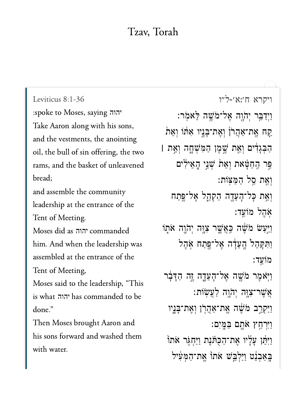## Tzav, Torah

Leviticus 8:1-36  $T = T$  יהוה Take Aaron along with his sons, and the vestments, the anointing oil, the bull of sin offering, the two rams, and the basket of unleavened  $\mathbf{1}$  assemble the community of  $\mathbf{1}$ and assemble the community leadership at the entrance of the Tent of Meeting.  $h \in \mathbb{R}$  is the contract of  $\mathbb{R}$  and  $\mathbb{R}$  was a set of  $\mathbb{R}$  was a set of  $\mathbb{R}$  was a set of  $\mathbb{R}$  was a set of  $\mathbb{R}$  was a set of  $\mathbb{R}$  was a set of  $\mathbb{R}$  was a set of  $\mathbb{R}$  was a set of יהוה him. And when the leadership was assembled at the entrance of the Tent of Meeting, is what יהוה has commanded to be is what יהוה has commanded to be  $\frac{1}{\sqrt{2}}$ Then Moses brought Aaron and his sons forward and washed them with water.

[ויקרא ח׳:א׳-ל״ו](https://www.sefaria.org/Leviticus%208:1-36) 8:1-36 Leviticus וַיְדַבֵּר יְהֹוֶה אֶל־מֹשֶׁה לֵאמֹר: ַּקַח אֱת־אַהֲרֹן וָאֶת־בָּנֵיו אִתּׁוֹ וְאֵת הַבְּגַדִים וְאֵת שֵׁמֵן הַמְּשָׁחֲה וְאֵת **|** ַפּר הַחַטַּאת וְאֵת שָׁנֵי הַאֵילִים וְאֵת סֵל הַמַּצוֹת: וְאֵת כָּל־הָעֵדָה הַקְּהֵל אֶל־<mark>פֶּתַח</mark> ֹ֥א ֶה ל מֹוֵֽע ד׃ וַיַּעַשׂ מֹשֶׁה כַּאֲשֱר צִוָּה יִהֹוֶה אֹתֲוֹ וַתְּקַהֶל הֲעֲדָה אֱל־פֵּתַח אָהֶל :מוֹעד וַיְּאֹמֶר מֹּשֶׁה אֶל־הָעֵדֶה זֶה הַדְּבָר ָאֲשֶׁר־צְוָּה יְהֹוֶה לַעֲשָׂוֹת: וַיַּקְרֵב מֹשֶׁה אֱת־אַהֲרֹן וְאֵת־בַּנֵיו ַו ִּי ְר ַ֥ח ץ ֹא ָ֖ת ם ַּב ָּֽמ ִים׃ וַיִּחֵן עָלָיו אֶת־הַכְּתּׂנֵת וַיַּחְגִּר אֹתוֹ ַּבְאַבְנֵט וַיַּלְבֵּשׁ אֹתוֹ אֱת־הַמְּעִיל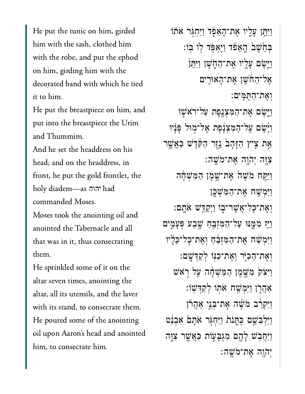He put the tunic on him, girded him with the sash, clothed him with the robe, and put the ephod on him, girding him with the decorated band with which he tied  $\mathbf{H} = \mathbf{H} \cdot \mathbf{H}$ 

He put the breastpiece on him, and put into the breastpiece the Urim and Thummim.

And he set the headdress on his head; and on the headdress, in front, he put the gold frontlet, the  $\begin{bmatrix} 1 & 1 & 1 \\ 1 & 1 & 1 \end{bmatrix}$ יהוה commanded Moses.

Moses took the anointing oil and anointed the Tabernacle and all that was in it, thus consecrating  $\mathbf{H}$ 

He sprinkled some of it on the altar seven times, anointing the altar, all its utensils, and the laver with its stand, to consecrate them. He poured some of the anointing oil upon Aaron's head and anointed him, to consecrate him.

וַיִּתֵּ**ו** עָלֵיו אֵת־הָאֵפָר וַיַּחְגִּר אֹתֹוֹ ּבְהֶׂשֵׁב הָאֲפֿד וַיֵּאִפֿד לֹו בּוֹ: וַיֵּיְשֵׂם עֲלֵיו אֱת־הַחָ*וֹ*שֶׁן וַיְּתֵּן אֶל־הַחֹֹשֶׁן אֶת־הָאוּרֵים ְוֶאת־ַהֻּתִּֽמים׃ ֿוַיְּשֶׂם אֶת־הַמְּצְנֶפֶת עַל־רֹאֹשֶׁוֹ ֿוַיָּשֶׁם עַל־הַמְצְנֶפֶת אֶל־מִוּל פָּנָיו אֵת צִיץ הַזָּהָב<sup>י</sup> נֵזֵר הַקְּדֵשׁ כַּאֲשֱר ִיֲּוָּה יְהֹוָה אֶת־מֹּשֶׁה: וַיַּקַח מֹשֶׁה אֱת־שֱמֶן הַמְּשָׁחָה וַיִּמְ*ּשֶׁ*ה אֶת־הַמְּשָׁכֵּן וְאֶת־כָּל־אֲשֶׁר־בְּוֹ וַיִּקַדֵּשׁ אֹתֵם: וַיַּז מִמֵּנּוּ עַל־הַמְזָבֵּחַ שֵׁבַע פְּעָמֶים וַיִּמִשׁׁח אֶת־הַמְזִבֵּ֫חַ וְאֵת־כָּל־כֵלַ֖יו ְוֶאת־ַהִּכֹּ֛יר ְוֶאת־ַּכּ֖נֹו ְלַקְּדָֽׁשם׃ וַיִּצֹק מְּשֶׁמֶן הַמְּשָׁחָה עַל רְאֹש  $\gamma$ אֲהֲרֹן וַיִּמְשָׁח אֹתוֹ לְקַדְּשִׁוֹ וַיַּקְרֵ֫ב ּמֹשֵׁה אֵת־בְּנֵי אַהֲרֹן וַיַּלְבִּשֵׁם כִּתֲנֹת וַיַּחָגִּר אֹתַם אַבְנֵט וַיַּחֲבִ**ּٰשׁ לָ**הֱם מְגִּבָּעָוֹת כַּאֲשֱר צָוֵּה יִה<u>ֿו</u>ָה אֲת־מֹּשֶׁה: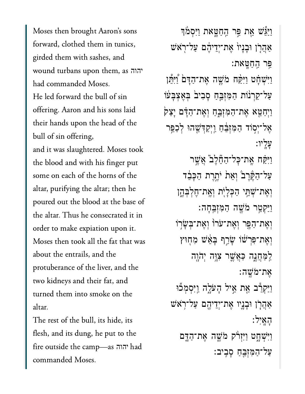Moses then brought Aaron's sons forward, clothed them in tunics, girded them with sashes, and wound turbans upon them, as יהוה had commanded Moses. He led forward the bull of sin offering. Aaron and his sons laid their hands upon the head of the bull of sin offering, and it was slaughtered. Moses took the blood and with his finger put some on each of the horns of the altar, purifying the altar; then he poured out the blood at the base of the altar. Thus he consecrated it in order to make expiation upon it. Moses then took all the fat that was about the entrails, and the protuberance of the liver, and the two kidneys and their fat, and turned them into smoke on the altar.

The rest of the bull, its hide, its flesh, and its dung, he put to the fire outside the camp—as יהוה had commanded Moses.

וַיַּגֵּֽֽשׁ אֵת פֵּר הַחַטֵּאת וַיִּסְמֹּךְ אַהֲרָן וּבְנָיוֹ אֶת־יְדֵיהֶם עַל־רְאֹשׁ פֵר הַחַטֵּאת: וַיִּשְׁחָט וַיִּקַּח מֹשֵׁה אֵת־הַדָּם וַיִּתֵּן עַל־קַרְנוֹת הַמִּזְבֵּחַ סָבִיבֹ בִּאֶצְבָּעֹוֹ וַיִּחַטֵּא אֶת־הַמְּזְבֵּחַ וְאֶת־הַדָּם יָצָק אֶל־יְסְוֹד הַמִּזְבֵּ֫הַ וַיְקַדְּשֵׁהוּ לְכַפֵּר עליו: <u>וַיִּקַּ</u>ׁח אֱת־כָּל־הַחֱלֵב אֲשֵׁר עַל־הַקֶּרֶבֹ וְאֵת יֹתֱרֶת הַכָּבֵר וְאֵת־שָׁתֵי הַכְּלַיְת וְאֵת־חֵלְבְּהֵן וַיַּקְטֵר מֹּשֵׁה הַמְּזְבֵּחָה: וְאֶת־הַפֶּר וְאֱת־עֹרוֹ וְאֶת־בִּשָׂרִוֹ וְאֵת־פִּרְשׁׁוֹ שָׂרֵף בָּאֵּשׁ מִחְוּץ לַמַּחֲנֵה כַּאֲשֵׁר צְוֵּה יְהֹוֶה אָת־מֹשֵׁה <u>וַיַּקְרֵ</u>ׁב אֵת אֵיל הָעֹלֶה וַיִּסְמְכֿוּ צַּהֲרָן וּבָנֵיו אֶת־יְדֵיהֶם עַל־רְאֹשׁ האיל: וַיִּשְׁחֲט וַיִּזְרֹק מֹשֵׁה אֱת־הַדֵּם על־המִזְבֵח סִבְיִב: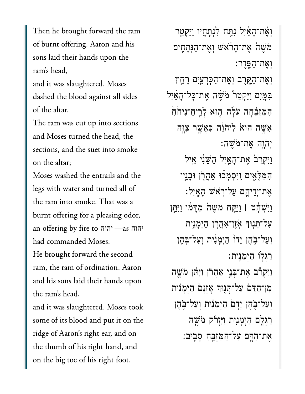Then he brought forward the ram of burnt offering. Aaron and his sons laid their hands upon the ram's head,

and it was slaughtered. Moses dashed the blood against all sides of the altar.

The ram was cut up into sections and Moses turned the head, the sections, and the suet into smoke on the altar;

Moses washed the entrails and the  $\begin{array}{ccc} 1 & 1 & 1 \end{array}$ the ram into smoke. That was a burnt offering for a pleasing odor,  $\overline{c}$  community  $\overline{c}$ יהוה יהוה had commanded Moses. He brought forward the second ram, the ram of ordination. Aaron and his sons laid their hands upon  $\begin{array}{ccc} 1 & 2 & 1 & 1 \end{array}$  took some of its blood and put it on the

some of its blood and put it on the ridge of Aaron's right ear, and on the thumb of his right hand, and on the big toe of his right foot.

וְאֵת־הָאַוִּל נִתַּח לִנְתָחֶיו וַיַּקְטֵֶר ּמֹשֵׁהׂ אֶת־הָרֹאֹשׁ וְאֶת־הַּנְתָחִים ְוֶאת־ַהָּֽפֶדר׃ ְוֶאת־ַהֶּ֥קֶרב ְוֶאת־ַהְּכָרַ֖עִים ָרַ֣חץ ַּבְּמֶּיִם וַיַּקִטֲר ׁמֹשֵׁה אֶת־כָּל־הָאֵיִל הַמְּזִבָּׁחָה עֹלָה הָוּא לְרֵיחַ־נִיחֹם אִשֶׁה הוּא לַיהוֹה כַּאֲשֶׁר צְוֵה ַיְהֹוֶה אֱת־מֹּשֵׁה: וַיַּקְרֵבׂ אֶת־הָאַיִל הַשֵּׁנִּי אֵיל הַמְּלָאִים וַיִּסְמְכוּ אַהֲרָן וּבָנֵיו ָאֶת־יִדִיהֶם עֲל־רָאֹשׁ הַאֵיל: ַוִּיְׁשָ֓חט **׀** ַוִּיַּ֤קח ֹמֶׁש֙ה ִמָּד֔מֹו ַוִּיֵּ֛תן ַעֲל־תְּנִוּךְ אֹזֶן־אֲהֲרֹן הַיִמָּנִית וִעַל־בָּהֵן יָדוֹ הַיִמָנִית וְעַל־בְהֶן ַרְג֖לֹו ַהְיָמִֽנית׃ וַיַּקְרֵצ אֶת־בָּנֵי אַהֲרוֹ וַיִּהֵ֫ן מֹ*ּשֶׁה* מן־הַדַּם עַל־תְּנִוּךְ אָזְנַם הַיִּמְנִית וְעַל־בָּהֵן יָדָם הַיִמָנִית וְעַל־בְּהֶן רַגְלֵם הַיִּמָּנִית וַיִּיְרֹ*ק מֹ*שֵׁה ֶאת־ַהָּ֛דם ַעל־ַֽהִּמְזֵּ֖בַח ָסִֽביב׃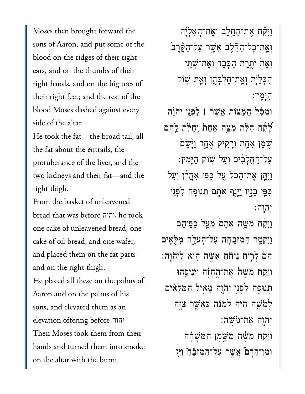Moses then brought forward the sons of Aaron, and put some of the blood on the ridges of their right ears, and on the thumbs of their right hands, and on the big toes of their right feet; and the rest of the blood Moses dashed against every side of the altar.

He took the fat-the broad tail, all the fat about the entrails, the protuberance of the liver, and the two kidneys and their fat-and the right thigh.

From the basket of unleavened bread that was before ההוה, he took one cake of unleavened bread, one cake of oil bread, and one wafer, and placed them on the fat parts and on the right thigh.

He placed all these on the palms of Aaron and on the palms of his sons, and elevated them as an elevation offering before .יהוה Then Moses took them from their hands and turned them into smoke on the altar with the burnt

וַיִּקְّח אֵת־הַחֱלֵב וְאֵת־הָאַלְיָה וְאֵת־כָּל־הַחֵלֵב אֲשֶׁר עַל־הַקֶּׂרֶבֹ וְאֵת יֹתֵרֵת הַכָּבֵד וְאֵת־שָׁתֵי הַכִּלַיְת וְאֱת־חֵלְבָּהֵן וְאֵת שָׁוֹק הימיו: וּמְסָּׁל הַמַּצֹּוֹת אֲשֱר | לִפְנֵי יְהֹוַה לָקָה חַלֵּת מַצָּה אַחַת וַחַלַּת לֵחֵם שֱמֶן <u>אַחָת וִרָק</u>יק אֵחֲד וַיַּשֵׁם עַל־הַחֲלַבְוֹם וְעֵל שָׁוֹק הַיַּמֵין: וַיִּתֵן אֵת־הַכֹּל עֲל כַפֵּי אַהַרוֹן וְעַל כַּפֵּי בָנֵיו וַיֵּנֵף אֹתֵם תְּנוּפֵה לִפְנֵי יהוה:

וַיִּקַּח מֹשֵׁה אֹתָם מֵעַל כַּפִּיהֵם וַיַּקְטֵר הַמְזְבֵהָה עַל־הָעֹלֵה מְלָאֵים הֵםׂ לְרֵיחַ נִיחֹׁחַ אָשֱה הִוּא לַיהֹוֵה: וַיִּקַח מֹשֵׁה אֲת־הֱחָזֶה וַיִּנִיפֵּהוּ תִנוּפֵה לִפְנֵי יְהֹוֶה מֶאֱיל הַמְּלָאָים לְמֹשֶׁה הַיָּהֹ לְמַנָּה כַּאֲשֵׁר צְוֵּה יְהֹוַה אֲת־מֹשֱה: וַיִּקַּח מֹשֶׁה מְשֵׁמֵן הַמְּשָׁהָה וּמְן־הַדָּם ֿאֲשֵׁר עַל־הַמְזָבֶּת וַיֵּז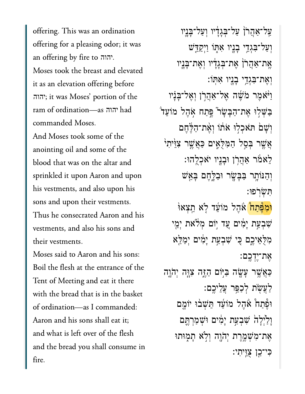offering. This was an ordination an offering by fire to יהוה. an offering by fire to יהוה. Moses took the breast and elevated it as an elevation offering before ram of ordination  $\overline{a}$  $\begin{bmatrix} 1 & 1 & 1 \end{bmatrix}$ יהוה יהוה commanded Moses.

And Moses took some of the anointing oil and some of the blood that was on the altar and sprinkled it upon Aaron and upon his vestments, and also upon his sons and upon their vestments. Thus he consecrated Aaron and his vestments, and also his sons and their vestments.

Moses said to Aaron and his sons: Boil the flesh at the entrance of the Tent of Meeting and eat it there of ordination—as I commanded:of ordination-as I commanded: Aaron and his sons shall eat it; and what is left over of the flesh and the bread you shall consume in fire.

ַעֲל־אֲהָרֹן עַל־בְּגַדָיו וְעַל־בָּנֵיו וְעַל־בְּגְדֵי בָנֵיו אָתְּוֹ ו<u>ַיִּקְד</u>ָּשׁ אֵת־אַהַרֹן אֶת־בְּגָדְ<sup>ָ</sup>יו וְאֶת־בְּנֶיו וְאֵת־בִּגְדֵי בָנֵיו אִתּוֹ: ֿוַיֹּאָמֶר מֹשֶׁה אֱל־אַהֲרֹן וְאֱל־בָּנָיו ַּבַּשָׁלוּ אֶת־הַבַּשַׂר *יֵּ*פַתַח אָהֶל מוֹעֵד וְשָׁם תּאִכְלִוּ אֹתוֹ וְאֶת־הַלֵּחֶם אֲשֶׁר בְּסֵל הַמְּלָאֵים כַּאֲשֱר צְוֵּ֫יִתְיֹ ַלְאֹמֹר אָהֲרֹן וּבַנֵיו יֹאֹכְלֶהוּ: וְהַנּוֹתֶר בַּבָּשֶׂר וּבַלֶּחֵם בָּאֵשׁ ִּת ְׂש ֹֽר פּו׃ <mark>ּוֹמְפֶּׁתַה</mark> אָּהֵל מֹוֹעֵד לָא הֵצְאוּ

ֹשְׁבְעַת יָמְים עֲד יִוֹם מְלֹאת יְמֵי מִלָּאֵיכֶם כִּי שִׁבְעַת יָמִ֫ים יְמַלֵּא ָאֶת־יֶדְכֵם:

ַּכְּאֲשֶׁר עָשָׂה בַּיִּֽוֹם הַזֶּה יָּבְוֶה יִהֹוֶה ַלַעֲשָׂת לְכַפֵּר עֲלֵיכֵם: וּפֵּתַה ׁאהֵל מוֹעֵד הֵּשָׁבוּ יוֹמֶם וַלַיִּלָה*ֹ שִׁבְעַת יַמְים וּשָׁמַרְתֵּם* אֶת־מְ*יֹ*שָׁמֱרֵת יְהֹוֶה וְלְא תָמְוּתוּ ַכִּי־כֵן צַוֵּיתִי